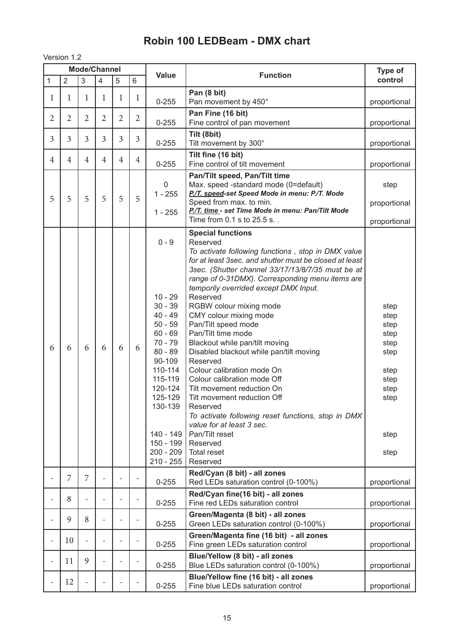## **Robin 100 LEDBeam - DMX chart**

Version 1.2

|                          | <b>Mode/Channel</b> |                          |                          |                |                          |                                                                                                                                                                                                              | Type of                                                                                                                                                                                                                                                                                                                                                                                                                                                                                                                                                                                                                                                                                                                                                                                                    |                                                                                              |
|--------------------------|---------------------|--------------------------|--------------------------|----------------|--------------------------|--------------------------------------------------------------------------------------------------------------------------------------------------------------------------------------------------------------|------------------------------------------------------------------------------------------------------------------------------------------------------------------------------------------------------------------------------------------------------------------------------------------------------------------------------------------------------------------------------------------------------------------------------------------------------------------------------------------------------------------------------------------------------------------------------------------------------------------------------------------------------------------------------------------------------------------------------------------------------------------------------------------------------------|----------------------------------------------------------------------------------------------|
| $\mathbf{1}$             | $\overline{2}$      | 3                        | $\overline{4}$           | 5              | $6\phantom{1}$           | <b>Value</b>                                                                                                                                                                                                 | <b>Function</b>                                                                                                                                                                                                                                                                                                                                                                                                                                                                                                                                                                                                                                                                                                                                                                                            | control                                                                                      |
| $\mathbf{1}$             | 1                   | 1                        | 1                        | $\mathbf 1$    | 1                        | $0 - 255$                                                                                                                                                                                                    | Pan (8 bit)<br>Pan movement by 450°                                                                                                                                                                                                                                                                                                                                                                                                                                                                                                                                                                                                                                                                                                                                                                        | proportional                                                                                 |
| $\overline{2}$           | 2                   | $\overline{2}$           | 2                        | $\overline{2}$ | $\overline{2}$           | $0 - 255$                                                                                                                                                                                                    | Pan Fine (16 bit)<br>Fine control of pan movement                                                                                                                                                                                                                                                                                                                                                                                                                                                                                                                                                                                                                                                                                                                                                          | proportional                                                                                 |
| 3                        | 3                   | 3                        | 3                        | 3              | 3                        | $0 - 255$                                                                                                                                                                                                    | Tilt (8bit)<br>Tilt movement by 300°                                                                                                                                                                                                                                                                                                                                                                                                                                                                                                                                                                                                                                                                                                                                                                       | proportional                                                                                 |
| 4                        | $\overline{4}$      | $\overline{4}$           | $\overline{4}$           | $\overline{4}$ | $\overline{4}$           | $0 - 255$                                                                                                                                                                                                    | Tilt fine (16 bit)<br>Fine control of tilt movement                                                                                                                                                                                                                                                                                                                                                                                                                                                                                                                                                                                                                                                                                                                                                        | proportional                                                                                 |
| 5                        | 5                   | 5                        | 5                        | 5              | 5                        | $\mathbf 0$<br>$1 - 255$<br>$1 - 255$                                                                                                                                                                        | Pan/Tilt speed, Pan/Tilt time<br>Max. speed -standard mode (0=default)<br>P./T. speed-set Speed Mode in menu: P./T. Mode<br>Speed from max. to min.<br>P./T. time - set Time Mode in menu: Pan/Tilt Mode<br>Time from 0.1 s to 25.5 s                                                                                                                                                                                                                                                                                                                                                                                                                                                                                                                                                                      | step<br>proportional<br>proportional                                                         |
| 6                        | 6                   | 6                        | 6                        | 6              | 6                        | $0 - 9$<br>$10 - 29$<br>$30 - 39$<br>$40 - 49$<br>$50 - 59$<br>$60 - 69$<br>$70 - 79$<br>$80 - 89$<br>90-109<br>110-114<br>115-119<br>120-124<br>125-129<br>130-139<br>140 - 149<br>200 - 209<br>$210 - 255$ | <b>Special functions</b><br>Reserved<br>To activate following functions, stop in DMX value<br>for at least 3sec. and shutter must be closed at least<br>3sec. (Shutter channel 33/17/13/8/7/35 must be at<br>range of 0-31DMX). Corresponding menu items are<br>temporily overrided except DMX Input.<br>Reserved<br>RGBW colour mixing mode<br>CMY colour mixing mode<br>Pan/Tilt speed mode<br>Pan/Tilt time mode<br>Blackout while pan/tilt moving<br>Disabled blackout while pan/tilt moving<br>Reserved<br>Colour calibration mode On<br>Colour calibration mode Off<br>Tilt movement reduction On<br>Tilt movement reduction Off<br>Reserved<br>To activate following reset functions, stop in DMX<br>value for at least 3 sec.<br>Pan/Tilt reset<br>150 - 199   Reserved<br>Total reset<br>Reserved | step<br>step<br>step<br>step<br>step<br>step<br>step<br>step<br>step<br>step<br>step<br>step |
|                          | 7                   | 7                        | $\overline{\phantom{0}}$ |                | $\overline{\phantom{0}}$ | $0 - 255$                                                                                                                                                                                                    | Red/Cyan (8 bit) - all zones<br>Red LEDs saturation control (0-100%)                                                                                                                                                                                                                                                                                                                                                                                                                                                                                                                                                                                                                                                                                                                                       | proportional                                                                                 |
| $\overline{\phantom{0}}$ | 8                   | $\overline{\phantom{0}}$ | $\overline{\phantom{a}}$ |                | $\overline{\phantom{a}}$ | $0 - 255$                                                                                                                                                                                                    | Red/Cyan fine(16 bit) - all zones<br>Fine red LEDs saturation control                                                                                                                                                                                                                                                                                                                                                                                                                                                                                                                                                                                                                                                                                                                                      | proportional                                                                                 |
| $\overline{\phantom{0}}$ | 9                   | 8                        | $\overline{\phantom{a}}$ |                |                          | $0 - 255$                                                                                                                                                                                                    | Green/Magenta (8 bit) - all zones<br>Green LEDs saturation control (0-100%)                                                                                                                                                                                                                                                                                                                                                                                                                                                                                                                                                                                                                                                                                                                                | proportional                                                                                 |
| $\overline{\phantom{0}}$ | 10                  |                          |                          |                | $\overline{\phantom{0}}$ | $0 - 255$                                                                                                                                                                                                    | Green/Magenta fine (16 bit) - all zones<br>Fine green LEDs saturation control                                                                                                                                                                                                                                                                                                                                                                                                                                                                                                                                                                                                                                                                                                                              | proportional                                                                                 |
|                          | 11                  | 9                        |                          |                |                          | $0 - 255$                                                                                                                                                                                                    | Blue/Yellow (8 bit) - all zones<br>Blue LEDs saturation control (0-100%)                                                                                                                                                                                                                                                                                                                                                                                                                                                                                                                                                                                                                                                                                                                                   | proportional                                                                                 |
|                          | 12                  |                          |                          |                |                          | $0 - 255$                                                                                                                                                                                                    | Blue/Yellow fine (16 bit) - all zones<br>Fine blue LEDs saturation control                                                                                                                                                                                                                                                                                                                                                                                                                                                                                                                                                                                                                                                                                                                                 | proportional                                                                                 |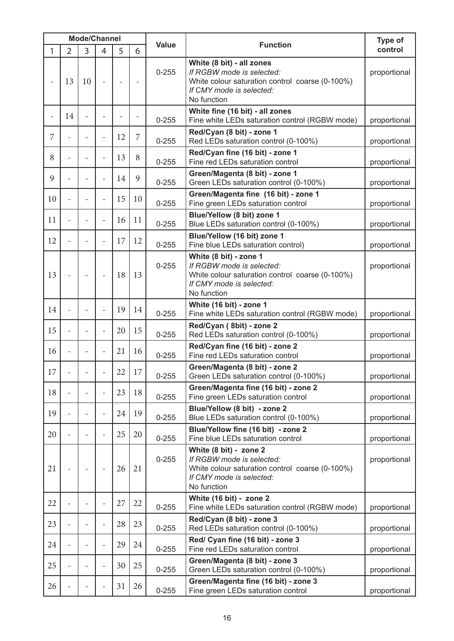|    | <b>Mode/Channel</b> |    |                          |                          |                |              |                                                                                                                                                      | Type of      |  |
|----|---------------------|----|--------------------------|--------------------------|----------------|--------------|------------------------------------------------------------------------------------------------------------------------------------------------------|--------------|--|
| 1  | $\overline{2}$      | 3  | 4                        | 5                        | 6              | <b>Value</b> | <b>Function</b>                                                                                                                                      |              |  |
|    | 13                  | 10 | $\overline{a}$           | $\overline{\phantom{a}}$ | $\overline{a}$ | $0 - 255$    | White (8 bit) - all zones<br>If RGBW mode is selected:<br>White colour saturation control coarse (0-100%)<br>If CMY mode is selected:<br>No function | proportional |  |
|    | 14                  |    | $\overline{a}$           |                          | $\overline{a}$ | $0 - 255$    | White fine (16 bit) - all zones<br>Fine white LEDs saturation control (RGBW mode)                                                                    | proportional |  |
| 7  |                     |    | $\overline{a}$           | 12                       | 7              | $0 - 255$    | Red/Cyan (8 bit) - zone 1<br>Red LEDs saturation control (0-100%)                                                                                    | proportional |  |
| 8  |                     |    | $\overline{a}$           | 13                       | 8              | $0 - 255$    | Red/Cyan fine (16 bit) - zone 1<br>Fine red LEDs saturation control                                                                                  | proportional |  |
| 9  |                     |    | $\overline{a}$           | 14                       | 9              | $0 - 255$    | Green/Magenta (8 bit) - zone 1<br>Green LEDs saturation control (0-100%)                                                                             | proportional |  |
| 10 | ÷                   |    | $\overline{\phantom{0}}$ | 15                       | 10             | $0 - 255$    | Green/Magenta fine (16 bit) - zone 1<br>Fine green LEDs saturation control                                                                           | proportional |  |
| 11 |                     |    | $\overline{a}$           | 16                       | 11             | $0 - 255$    | Blue/Yellow (8 bit) zone 1<br>Blue LEDs saturation control (0-100%)                                                                                  | proportional |  |
| 12 |                     |    | $\overline{a}$           | 17                       | 12             | $0 - 255$    | Blue/Yellow (16 bit) zone 1<br>Fine blue LEDs saturation control)                                                                                    | proportional |  |
| 13 |                     |    | $\overline{a}$           | 18                       | 13             | $0 - 255$    | White (8 bit) - zone 1<br>If RGBW mode is selected:<br>White colour saturation control coarse (0-100%)<br>If CMY mode is selected:<br>No function    | proportional |  |
| 14 |                     |    | $\overline{a}$           | 19                       | 14             | $0 - 255$    | White (16 bit) - zone 1<br>Fine white LEDs saturation control (RGBW mode)                                                                            | proportional |  |
| 15 |                     |    | $\overline{\phantom{0}}$ | 20                       | 15             | $0 - 255$    | Red/Cyan (8bit) - zone 2<br>Red LEDs saturation control (0-100%)                                                                                     | proportional |  |
| 16 |                     |    | $\overline{a}$           | 21                       | 16             | $0 - 255$    | Red/Cyan fine (16 bit) - zone 2<br>Fine red LEDs saturation control                                                                                  | proportional |  |
| 17 |                     |    |                          | 22                       | 17             | $0 - 255$    | Green/Magenta (8 bit) - zone 2<br>Green LEDs saturation control (0-100%)                                                                             | proportional |  |
| 18 |                     |    | $\overline{a}$           | 23                       | 18             | $0 - 255$    | Green/Magenta fine (16 bit) - zone 2<br>Fine green LEDs saturation control                                                                           | proportional |  |
| 19 |                     |    | $\overline{a}$           | 24                       | 19             | $0 - 255$    | Blue/Yellow (8 bit) - zone 2<br>Blue LEDs saturation control (0-100%)                                                                                | proportional |  |
| 20 |                     |    | $\overline{\phantom{0}}$ | 25                       | 20             | $0 - 255$    | Blue/Yellow fine (16 bit) - zone 2<br>Fine blue LEDs saturation control                                                                              | proportional |  |
| 21 | $\overline{a}$      |    | $\overline{a}$           | 26                       | 21             | $0 - 255$    | White (8 bit) - zone 2<br>If RGBW mode is selected:<br>White colour saturation control coarse (0-100%)<br>If CMY mode is selected:<br>No function    | proportional |  |
| 22 |                     |    | $\overline{a}$           | 27                       | 22             | $0 - 255$    | White (16 bit) - zone 2<br>Fine white LEDs saturation control (RGBW mode)                                                                            | proportional |  |
| 23 |                     |    | $\overline{a}$           | 28                       | 23             | $0 - 255$    | Red/Cyan (8 bit) - zone 3<br>Red LEDs saturation control (0-100%)                                                                                    | proportional |  |
| 24 |                     |    | $\overline{\phantom{0}}$ | 29                       | 24             | $0 - 255$    | Red/ Cyan fine (16 bit) - zone 3<br>Fine red LEDs saturation control                                                                                 | proportional |  |
| 25 |                     |    | $\overline{a}$           | 30                       | 25             | $0 - 255$    | Green/Magenta (8 bit) - zone 3<br>Green LEDs saturation control (0-100%)                                                                             | proportional |  |
| 26 |                     |    | $\overline{a}$           | 31                       | 26             | $0 - 255$    | Green/Magenta fine (16 bit) - zone 3<br>Fine green LEDs saturation control                                                                           | proportional |  |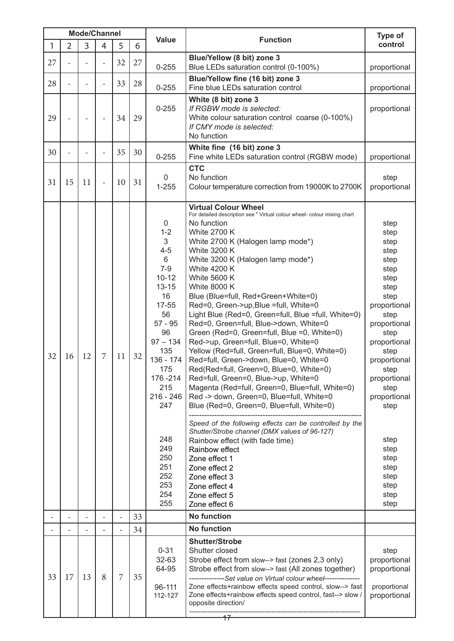|    | <b>Mode/Channel</b> |                                  |                          |                |                 |                                                                                                                                                                                                                                                                 | Type of                                                                                                                                                                                                                                                                                                                                                                                                                                                                                                                                                                                                                                                                                                                                                                                                                                                                                                                                                                                                                                                                                                                                                                                       |                                                                                                                                                                                                                                                                                      |
|----|---------------------|----------------------------------|--------------------------|----------------|-----------------|-----------------------------------------------------------------------------------------------------------------------------------------------------------------------------------------------------------------------------------------------------------------|-----------------------------------------------------------------------------------------------------------------------------------------------------------------------------------------------------------------------------------------------------------------------------------------------------------------------------------------------------------------------------------------------------------------------------------------------------------------------------------------------------------------------------------------------------------------------------------------------------------------------------------------------------------------------------------------------------------------------------------------------------------------------------------------------------------------------------------------------------------------------------------------------------------------------------------------------------------------------------------------------------------------------------------------------------------------------------------------------------------------------------------------------------------------------------------------------|--------------------------------------------------------------------------------------------------------------------------------------------------------------------------------------------------------------------------------------------------------------------------------------|
| 1  | $\overline{2}$      | <b>Value</b><br>3<br>4<br>5<br>6 |                          |                | <b>Function</b> | control                                                                                                                                                                                                                                                         |                                                                                                                                                                                                                                                                                                                                                                                                                                                                                                                                                                                                                                                                                                                                                                                                                                                                                                                                                                                                                                                                                                                                                                                               |                                                                                                                                                                                                                                                                                      |
| 27 |                     |                                  | $\overline{\phantom{0}}$ | 32             | 27              | $0 - 255$                                                                                                                                                                                                                                                       | Blue/Yellow (8 bit) zone 3<br>Blue LEDs saturation control (0-100%)                                                                                                                                                                                                                                                                                                                                                                                                                                                                                                                                                                                                                                                                                                                                                                                                                                                                                                                                                                                                                                                                                                                           | proportional                                                                                                                                                                                                                                                                         |
| 28 | $\overline{a}$      |                                  | $\overline{\phantom{0}}$ | 33             | 28              | $0 - 255$                                                                                                                                                                                                                                                       | Blue/Yellow fine (16 bit) zone 3<br>Fine blue LEDs saturation control                                                                                                                                                                                                                                                                                                                                                                                                                                                                                                                                                                                                                                                                                                                                                                                                                                                                                                                                                                                                                                                                                                                         | proportional                                                                                                                                                                                                                                                                         |
| 29 |                     |                                  | $\overline{\phantom{0}}$ | 34             | 29              | $0 - 255$                                                                                                                                                                                                                                                       | White (8 bit) zone 3<br>If RGBW mode is selected:<br>White colour saturation control coarse (0-100%)<br>If CMY mode is selected:<br>No function                                                                                                                                                                                                                                                                                                                                                                                                                                                                                                                                                                                                                                                                                                                                                                                                                                                                                                                                                                                                                                               | proportional                                                                                                                                                                                                                                                                         |
| 30 |                     |                                  |                          | 35             | 30              | $0 - 255$                                                                                                                                                                                                                                                       | White fine (16 bit) zone 3<br>Fine white LEDs saturation control (RGBW mode)                                                                                                                                                                                                                                                                                                                                                                                                                                                                                                                                                                                                                                                                                                                                                                                                                                                                                                                                                                                                                                                                                                                  | proportional                                                                                                                                                                                                                                                                         |
| 31 | 15                  | 11                               | $\overline{\phantom{a}}$ | 10             | 31              | 0<br>$1 - 255$                                                                                                                                                                                                                                                  | <b>CTC</b><br>No function<br>Colour temperature correction from 19000K to 2700K                                                                                                                                                                                                                                                                                                                                                                                                                                                                                                                                                                                                                                                                                                                                                                                                                                                                                                                                                                                                                                                                                                               | step<br>proportional                                                                                                                                                                                                                                                                 |
| 32 | 16                  | 12                               | 7                        | 11             | 32              | $\mathbf 0$<br>$1 - 2$<br>3<br>$4 - 5$<br>6<br>$7-9$<br>$10 - 12$<br>$13 - 15$<br>16<br>17-55<br>56<br>$57 - 95$<br>96<br>$97 - 134$<br>135<br>136 - 174<br>175<br>176-214<br>215<br>$216 - 246$<br>247<br>248<br>249<br>250<br>251<br>252<br>253<br>254<br>255 | <b>Virtual Colour Wheel</b><br>For detailed description see " Virtual colour wheel- colour mixing chart<br>No function<br><b>White 2700 K</b><br>White 2700 K (Halogen lamp mode*)<br><b>White 3200 K</b><br>White 3200 K (Halogen lamp mode*)<br><b>White 4200 K</b><br><b>White 5600 K</b><br><b>White 8000 K</b><br>Blue (Blue=full, Red+Green+White=0)<br>Red=0, Green->up, Blue =full, White=0<br>Light Blue (Red=0, Green=full, Blue =full, White=0)<br>Red=0, Green=full, Blue->down, White=0<br>Green (Red=0, Green=full, Blue =0, White=0)<br>Red->up, Green=full, Blue=0, White=0<br>Yellow (Red=full, Green=full, Blue=0, White=0)<br>Red=full, Green->down, Blue=0, White=0<br>Red(Red=full, Green=0, Blue=0, White=0)<br>Red=full, Green=0, Blue->up, White=0<br>Magenta (Red=full, Green=0, Blue=full, White=0)<br>Red -> down, Green=0, Blue=full, White=0<br>Blue (Red=0, Green=0, Blue=full, White=0)<br>Speed of the following effects can be controlled by the<br>Shutter/Strobe channel (DMX values of 96-127)<br>Rainbow effect (with fade time)<br>Rainbow effect<br>Zone effect 1<br>Zone effect 2<br>Zone effect 3<br>Zone effect 4<br>Zone effect 5<br>Zone effect 6 | step<br>step<br>step<br>step<br>step<br>step<br>step<br>step<br>step<br>proportional<br>step<br>proportional<br>step<br>proportional<br>step<br>proportional<br>step<br>proportional<br>step<br>proportional<br>step<br>step<br>step<br>step<br>step<br>step<br>step<br>step<br>step |
|    | $\overline{a}$      |                                  | $\overline{\phantom{0}}$ | $\overline{a}$ | 33              |                                                                                                                                                                                                                                                                 | <b>No function</b>                                                                                                                                                                                                                                                                                                                                                                                                                                                                                                                                                                                                                                                                                                                                                                                                                                                                                                                                                                                                                                                                                                                                                                            |                                                                                                                                                                                                                                                                                      |
|    |                     |                                  |                          |                | 34              |                                                                                                                                                                                                                                                                 | <b>No function</b>                                                                                                                                                                                                                                                                                                                                                                                                                                                                                                                                                                                                                                                                                                                                                                                                                                                                                                                                                                                                                                                                                                                                                                            |                                                                                                                                                                                                                                                                                      |
| 33 | 17                  | 13                               | 8                        | 7              | 35              | $0 - 31$<br>32-63<br>64-95<br>96-111<br>112-127                                                                                                                                                                                                                 | <b>Shutter/Strobe</b><br>Shutter closed<br>Strobe effect from slow--> fast (zones 2,3 only)<br>Strobe effect from slow--> fast (All zones together)<br>--------------Set value on Virtual colour wheel--------------<br>Zone effects+rainbow effects speed control, slow--> fast<br>Zone effects+rainbow effects speed control, fast--> slow /<br>opposite direction/                                                                                                                                                                                                                                                                                                                                                                                                                                                                                                                                                                                                                                                                                                                                                                                                                         | step<br>proportional<br>proportional<br>proportional<br>proportional                                                                                                                                                                                                                 |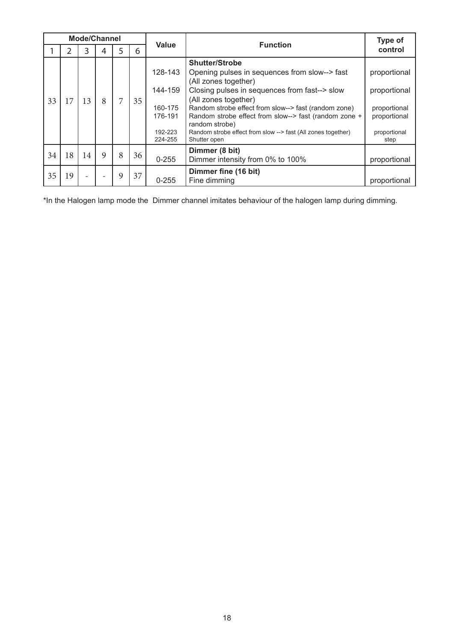| <b>Mode/Channel</b> |    |    |             |   |    |                                                                |                                                                                                                                                                                                                                                                                                                                                                                            |                                                                                      |
|---------------------|----|----|-------------|---|----|----------------------------------------------------------------|--------------------------------------------------------------------------------------------------------------------------------------------------------------------------------------------------------------------------------------------------------------------------------------------------------------------------------------------------------------------------------------------|--------------------------------------------------------------------------------------|
|                     |    | 3  | 4           | 5 | 6  | Value                                                          | <b>Function</b>                                                                                                                                                                                                                                                                                                                                                                            | control                                                                              |
| 33                  | 17 | 13 | 8           | 7 | 35 | 128-143<br>144-159<br>160-175<br>176-191<br>192-223<br>224-255 | <b>Shutter/Strobe</b><br>Opening pulses in sequences from slow--> fast<br>(All zones together)<br>Closing pulses in sequences from fast--> slow<br>(All zones together)<br>Random strobe effect from slow--> fast (random zone)<br>Random strobe effect from slow--> fast (random zone +<br>random strobe)<br>Random strobe effect from slow --> fast (All zones together)<br>Shutter open | proportional<br>proportional<br>proportional<br>proportional<br>proportional<br>step |
| 34                  | 18 | 14 | $\mathbf Q$ | 8 | 36 | $0 - 255$                                                      | Dimmer (8 bit)<br>Dimmer intensity from 0% to 100%                                                                                                                                                                                                                                                                                                                                         | proportional                                                                         |
| 35                  | 19 |    |             | 9 | 37 | $0 - 255$                                                      | Dimmer fine (16 bit)<br>Fine dimming                                                                                                                                                                                                                                                                                                                                                       | proportional                                                                         |

\*In the Halogen lamp mode the Dimmer channel imitates behaviour of the halogen lamp during dimming.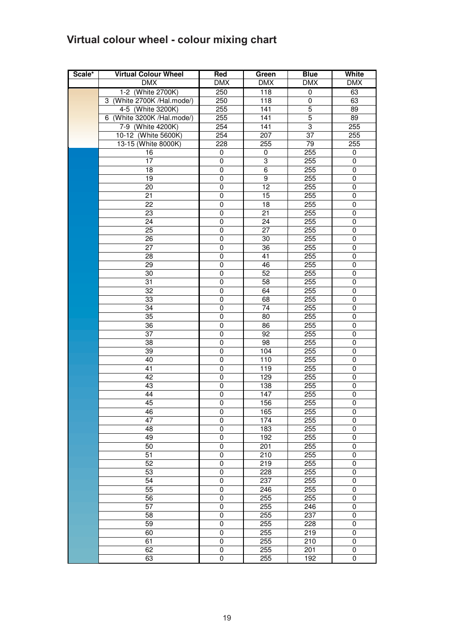## **Virtual colour wheel - colour mixing chart**

| Scale* | <b>Virtual Colour Wheel</b> | <b>Red</b>     | Green            | <b>Blue</b>      | White          |
|--------|-----------------------------|----------------|------------------|------------------|----------------|
|        | <b>DMX</b>                  | <b>DMX</b>     | <b>DMX</b>       | <b>DMX</b>       | <b>DMX</b>     |
|        | 1-2 (White 2700K)           | 250            | 118              | $\pmb{0}$        | 63             |
|        | 3 (White 2700K /Hal.mode/)  | 250            | 118              | 0                | 63             |
|        | 4-5 (White 3200K)           | 255            | 141              | $\overline{5}$   | 89             |
|        | 6 (White 3200K /Hal.mode/)  | 255            | $\overline{141}$ | $\overline{5}$   | 89             |
|        | 7-9 (White 4200K)           | 254            | $\overline{141}$ | 3                | 255            |
|        | 10-12 (White 5600K)         | 254            | 207              | 37               | 255            |
|        | 13-15 (White 8000K)         | 228            | 255              | 79               | 255            |
|        | 16                          | 0              | 0                | 255              | 0              |
|        | 17                          | 0              | 3                | 255              | 0              |
|        | 18                          | $\pmb{0}$      | 6                | 255              | 0              |
|        | 19                          | $\pmb{0}$      | $\overline{9}$   | $\overline{255}$ | $\pmb{0}$      |
|        | $\overline{20}$             | $\pmb{0}$      | $\overline{12}$  | 255              | $\pmb{0}$      |
|        | $\overline{21}$             | $\mathbf 0$    | 15               | 255              | 0              |
|        | 22                          | $\mathbf 0$    | 18               | 255              | 0              |
|        | $\overline{23}$             | $\mathbf 0$    | 21               | 255              | $\pmb{0}$      |
|        | 24                          | 0              | 24               | 255              | 0              |
|        | 25                          | 0              | 27               | 255              | 0              |
|        | 26                          | 0              | 30               | 255              | 0              |
|        | 27                          | 0              | 36               | 255              | 0              |
|        | 28                          | $\overline{0}$ | 41               | 255              | $\pmb{0}$      |
|        | 29                          | $\mathbf 0$    | 46               | 255              | 0              |
|        | 30                          | $\mathbf 0$    | 52               | 255              | 0              |
|        | 31                          | $\mathbf 0$    | 58               | 255              | 0              |
|        | $\overline{32}$             | $\overline{0}$ | 64               | 255              | $\pmb{0}$      |
|        | 33                          | $\mathbf 0$    | 68               | 255              | $\pmb{0}$      |
|        | 34                          | 0              | 74               | 255              | 0              |
|        | $\overline{35}$             | 0              | 80               | 255              | 0              |
|        | 36                          | 0              | 86               | 255              | 0              |
|        | 37                          | $\mathbf 0$    | 92               | 255              | $\pmb{0}$      |
|        | 38                          | $\pmb{0}$      | $\overline{98}$  | 255              | $\pmb{0}$      |
|        | $\overline{39}$             | $\mathbf 0$    | 104              | 255              | $\pmb{0}$      |
|        | 40                          | 0              | 110              | 255              | 0              |
|        | 41                          | $\mathbf 0$    | 119              | 255              | 0              |
|        | 42                          | $\mathbf 0$    | 129              | 255              | 0              |
|        | 43                          | 0              | 138              | 255              | 0              |
|        | 44                          | 0              | 147              | 255              | 0              |
|        | 45                          | $\mathbf 0$    | 156              | 255              | 0              |
|        | 46<br>47                    | U<br>0         | 165<br>174       | 255<br>255       | U<br>0         |
|        | 48                          |                |                  |                  |                |
|        | 49                          | 0<br>0         | 183<br>192       | 255<br>255       | 0<br>$\pmb{0}$ |
|        | 50                          | 0              | 201              | 255              | 0              |
|        | 51                          | $\mathbf 0$    | 210              | 255              | $\pmb{0}$      |
|        | 52                          | 0              | 219              | 255              | 0              |
|        | 53                          | 0              | 228              | 255              | 0              |
|        | 54                          | 0              | 237              | 255              | $\pmb{0}$      |
|        | 55                          | 0              | 246              | 255              | 0              |
|        | 56                          | $\mathsf 0$    | 255              | 255              | $\pmb{0}$      |
|        | $\overline{57}$             | $\mathbf 0$    | 255              | 246              | $\pmb{0}$      |
|        | $\overline{58}$             | $\mathbf 0$    | 255              | 237              | $\pmb{0}$      |
|        | 59                          | $\mathbf 0$    | 255              | 228              | 0              |
|        | 60                          | $\mathbf 0$    | 255              | 219              | $\pmb{0}$      |
|        | 61                          | 0              | 255              | $\overline{210}$ | 0              |
|        | 62                          | 0              | 255              | 201              | 0              |
|        | 63                          | $\mathbf 0$    | 255              | 192              | 0              |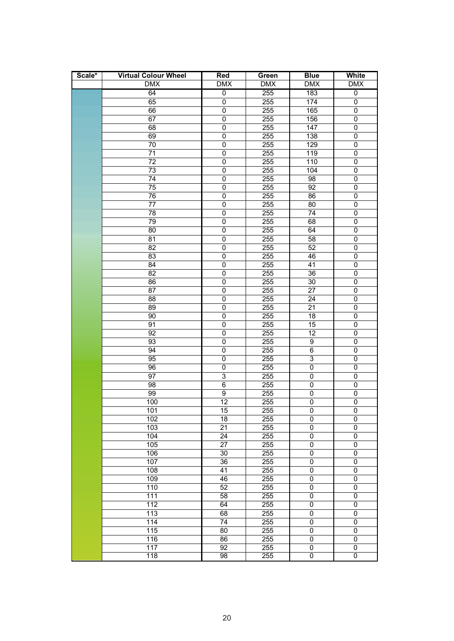| Scale* | <b>Virtual Colour Wheel</b> | Red                 | Green            | <b>Blue</b>                | <b>White</b>           |
|--------|-----------------------------|---------------------|------------------|----------------------------|------------------------|
|        | <b>DMX</b>                  | <b>DMX</b>          | <b>DMX</b>       | <b>DMX</b>                 | <b>DMX</b>             |
|        | 64                          | $\overline{0}$      | 255              | 183                        | $\overline{0}$         |
|        | 65                          | $\overline{0}$      | 255              | 174                        | $\pmb{0}$              |
|        | 66                          | $\overline{0}$      | 255              | 165                        | $\pmb{0}$              |
|        | 67                          | $\overline{0}$      | 255              | 156                        | 0                      |
|        | 68                          | $\pmb{0}$           | 255              | 147                        | 0                      |
|        | 69                          | 0                   | 255              | 138                        | 0                      |
|        | 70                          | $\pmb{0}$           | 255              | 129                        | 0                      |
|        | 71                          | $\pmb{0}$           | 255              | 119                        | $\pmb{0}$              |
|        | 72                          | $\pmb{0}$           | 255              | 110                        | 0                      |
|        | 73                          | $\mathbf 0$         | 255              | 104                        | $\pmb{0}$              |
|        | 74                          | $\mathbf 0$         | 255              | 98                         | $\mathbf 0$            |
|        | 75                          | $\mathbf 0$         | 255              | 92                         | $\pmb{0}$              |
|        | 76                          | $\pmb{0}$           | 255              | 86                         | 0                      |
|        | 77                          | $\pmb{0}$           | 255              | 80                         | 0                      |
|        | 78                          | $\pmb{0}$           | 255              | 74                         | 0                      |
|        | 79                          | $\overline{0}$      | 255              | 68                         | $\overline{0}$         |
|        | $\overline{80}$             | $\overline{0}$      | 255              | 64                         | $\overline{0}$         |
|        | $\overline{81}$             | $\overline{0}$      | 255              | $\overline{58}$            | $\pmb{0}$              |
|        | $\overline{82}$             | $\mathbf 0$         | 255              | 52                         | 0                      |
|        | 83                          | $\overline{0}$      | 255              | 46                         | $\overline{0}$         |
|        | 84                          | $\pmb{0}$           | 255              | 41                         | 0                      |
|        | $\overline{82}$             | $\pmb{0}$           | 255              | 36                         | 0                      |
|        | 86                          | $\pmb{0}$           | 255              | 30                         | 0                      |
|        | 87                          | $\overline{0}$      | 255              | 27                         | 0                      |
|        | $\overline{88}$             | $\overline{0}$      | 255              | 24                         | 0                      |
|        | 89                          | $\mathbf 0$         | 255              | $\overline{21}$            | $\mathbf 0$            |
|        | 90                          | $\mathbf 0$         | 255              | 18                         | 0                      |
|        | 91                          | $\overline{0}$      | 255              | 15                         | 0                      |
|        | 92                          | 0                   | 255              | 12                         | 0                      |
|        | 93                          | $\mathbf 0$         | 255              | 9                          | 0                      |
|        | 94                          | $\pmb{0}$           | 255              | 6                          | 0                      |
|        | 95                          | $\mathbf 0$         | 255              | $\ensuremath{\mathsf{3}}$  | $\pmb{0}$              |
|        | 96                          | 0                   | 255              | $\mathbf 0$                | $\mathbf 0$            |
|        | 97                          | $\overline{3}$      | 255              | $\mathsf 0$                | 0                      |
|        | 98<br>99                    | 6<br>$\overline{9}$ | 255<br>255       | $\mathbf 0$<br>$\mathbf 0$ | $\pmb{0}$<br>$\pmb{0}$ |
|        | 100                         | 12                  | 255              | $\mathbf 0$                | $\overline{0}$         |
|        | 101                         | 15                  | 255              | 0                          | 0                      |
|        | 102                         | 18                  | 255              | 0                          | 0                      |
|        | 103                         | 21                  | 255              | 0                          | 0                      |
|        | 104                         | $\overline{24}$     | 255              | $\pmb{0}$                  | $\overline{0}$         |
|        | 105                         | $\overline{27}$     | 255              | $\pmb{0}$                  | 0                      |
|        | 106                         | 30                  | 255              | $\pmb{0}$                  | $\overline{0}$         |
|        | 107                         | $\overline{36}$     | 255              | $\mathbf 0$                | $\boldsymbol{0}$       |
|        | 108                         | $\overline{41}$     | 255              | $\pmb{0}$                  | $\overline{0}$         |
|        | 109                         | 46                  | 255              | 0                          | 0                      |
|        | 110                         | 52                  | $\overline{255}$ | 0                          | 0                      |
|        | 111                         | 58                  | 255              | $\boldsymbol{0}$           | $\pmb{0}$              |
|        | $\overline{112}$            | 64                  | 255              | $\mathsf 0$                | $\overline{0}$         |
|        | 113                         | 68                  | 255              | $\mathsf 0$                | 0                      |
|        | 114                         | $\overline{74}$     | 255              | $\pmb{0}$                  | $\mathbf 0$            |
|        | $\frac{115}{115}$           | 80                  | 255              | $\pmb{0}$                  | $\pmb{0}$              |
|        | 116                         | 86                  | 255              | $\mathbf 0$                | 0                      |
|        | 117                         | 92                  | 255              | $\pmb{0}$                  | 0                      |
|        | 118                         | 98                  | 255              | $\pmb{0}$                  | 0                      |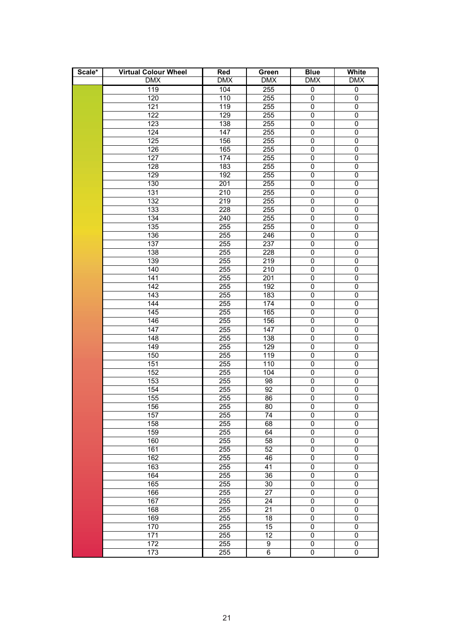| Scale* | <b>Virtual Colour Wheel</b> | Red              | Green            | <b>Blue</b>    | White            |
|--------|-----------------------------|------------------|------------------|----------------|------------------|
|        | <b>DMX</b>                  | <b>DMX</b>       | <b>DMX</b>       | <b>DMX</b>     | <b>DMX</b>       |
|        | 119                         | 104              | 255              | $\overline{0}$ | $\overline{0}$   |
|        | 120                         | 110              | 255              | 0              | 0                |
|        | 121                         | 119              | 255              | $\overline{0}$ | $\mathbf 0$      |
|        | 122                         | 129              | 255              | $\pmb{0}$      | 0                |
|        | 123                         | 138              | 255              | $\pmb{0}$      | 0                |
|        | 124                         | 147              | 255              | $\pmb{0}$      | 0                |
|        | 125                         | 156              | 255              | $\pmb{0}$      | 0                |
|        | 126                         | 165              | 255              | $\pmb{0}$      | 0                |
|        | 127                         | 174              | 255              | $\pmb{0}$      | 0                |
|        | 128                         | 183              | 255              | $\pmb{0}$      | 0                |
|        | 129                         | 192              | 255              | $\pmb{0}$      | 0                |
|        | 130                         | $\overline{201}$ | 255              | $\pmb{0}$      | 0                |
|        | 131                         | $\overline{210}$ | 255              | $\pmb{0}$      | 0                |
|        | 132                         | 219              | 255              | $\pmb{0}$      | 0                |
|        | 133                         | 228              | 255              | $\pmb{0}$      | 0                |
|        | 134                         | 240              | 255              | $\pmb{0}$      | 0                |
|        | 135                         | 255              | 255              | $\pmb{0}$      | $\overline{0}$   |
|        | 136                         | 255              | 246              | $\overline{0}$ | $\overline{0}$   |
|        | 137                         | 255              | 237              | $\overline{0}$ | 0                |
|        | 138                         | 255              | 228              | $\pmb{0}$      | 0                |
|        | 139                         | 255              | $\overline{219}$ | $\overline{0}$ | 0                |
|        | 140                         | 255              | 210              | $\pmb{0}$      | 0                |
|        | 141                         | 255              | 201              | $\pmb{0}$      | 0                |
|        | 142                         | 255              | 192              | $\pmb{0}$      | 0                |
|        | 143                         | 255              | 183              | $\pmb{0}$      | 0                |
|        | 144                         | 255              | 174              | $\overline{0}$ | 0                |
|        | 145                         | 255              | 165              | $\pmb{0}$      | 0                |
|        | 146                         | 255              | 156              | $\pmb{0}$      | 0                |
|        | 147                         | 255              | 147              | $\overline{0}$ | 0                |
|        | 148                         | 255              | 138              | $\pmb{0}$      | 0                |
|        | 149                         | 255              | 129              | 0              | 0                |
|        | 150                         | 255              | 119              | $\pmb{0}$      | 0                |
|        | 151                         | 255              | 110              | $\pmb{0}$      | 0                |
|        | $\overline{1}52$            | 255              | 104              | $\pmb{0}$      | $\mathsf 0$      |
|        | 153                         | 255              | 98               | $\pmb{0}$      | 0                |
|        | 154                         | 255              | $\overline{92}$  | $\overline{0}$ | $\mathbf 0$      |
|        | 155                         | 255              | 86               | $\overline{0}$ | $\overline{0}$   |
|        | 156                         | 255              | 80               | $\Omega$       | $\Omega$         |
|        | 157                         | 255              | 74               | 0              | 0                |
|        | 158                         | 255              | 68               | 0              | 0                |
|        | 159                         | 255              | 64               | $\pmb{0}$      | $\boldsymbol{0}$ |
|        | 160                         | 255              | $\overline{58}$  | $\pmb{0}$      | $\overline{0}$   |
|        | 161                         | 255              | $\overline{52}$  | $\pmb{0}$      | 0                |
|        | 162                         | 255              | 46               | $\overline{0}$ | $\overline{0}$   |
|        | 163                         | 255              | 41               | $\pmb{0}$      | $\boldsymbol{0}$ |
|        | 164                         | 255              | $36\,$           | $\pmb{0}$      | $\overline{0}$   |
|        | 165                         | 255              | $30\,$           | 0              | 0                |
|        | 166                         | 255              | 27               | 0              | 0                |
|        | 167                         | 255              | 24               | $\pmb{0}$      | $\mathsf 0$      |
|        | 168                         | 255              | $\overline{21}$  | $\pmb{0}$      | $\overline{0}$   |
|        | 169                         | 255              | 18               | $\mathsf 0$    | 0                |
|        | 170                         | 255              | $\overline{15}$  | $\mathsf 0$    | $\pmb{0}$        |
|        | 171                         | 255              | $\overline{12}$  | $\pmb{0}$      | $\pmb{0}$        |
|        | 172                         | 255              | 9                | $\pmb{0}$      | 0                |
|        | 173                         | 255              | 6                | $\mathsf 0$    | 0                |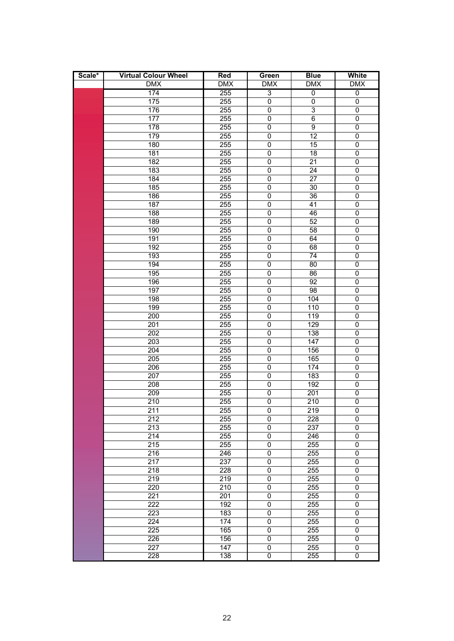| Scale* | <b>Virtual Colour Wheel</b> | Red              | Green          | <b>Blue</b>      | White          |
|--------|-----------------------------|------------------|----------------|------------------|----------------|
|        | <b>DMX</b>                  | <b>DMX</b>       | <b>DMX</b>     | <b>DMX</b>       | <b>DMX</b>     |
|        | 174                         | 255              | $\overline{3}$ | $\overline{0}$   | $\overline{0}$ |
|        | 175                         | 255              | 0              | $\pmb{0}$        | $\mathbf 0$    |
|        | 176                         | 255              | $\pmb{0}$      | 3                | $\mathbf 0$    |
|        | 177                         | 255              | $\mathbf 0$    | $\overline{6}$   | $\pmb{0}$      |
|        | 178                         | 255              | 0              | 9                | 0              |
|        | 179                         | 255              | 0              | $\overline{12}$  | 0              |
|        | 180                         | 255              | 0              | 15               | $\mathbf 0$    |
|        | 181                         | 255              | $\mathbf 0$    | $\overline{18}$  | $\pmb{0}$      |
|        | 182                         | 255              | 0              | $\overline{21}$  | $\mathbf 0$    |
|        | 183                         | 255              | $\pmb{0}$      | $\overline{24}$  | $\mathbf 0$    |
|        | 184                         | 255              | $\mathsf 0$    | 27               | $\mathbf 0$    |
|        | 185                         | 255              | $\mathsf 0$    | 30               | $\mathbf 0$    |
|        | 186                         | 255              | 0              | 36               | 0              |
|        | 187                         | 255              | 0              | 41               | 0              |
|        | 188                         | 255              | 0              | 46               | 0              |
|        | 189                         | 255              | $\mathsf 0$    | 52               | $\mathbf 0$    |
|        | 190                         | 255              | $\mathsf 0$    | 58               | $\mathbf 0$    |
|        | 191                         | 255              | $\mathsf 0$    | 64               | $\mathbf 0$    |
|        | 192                         | 255              | $\mathbf 0$    | 68               | $\mathbf 0$    |
|        | 193                         | 255              | $\mathbf 0$    | 74               | $\mathbf 0$    |
|        | 194                         | 255              | $\mathsf 0$    | 80               | $\mathbf 0$    |
|        | 195                         | 255              | 0              | 86               | 0              |
|        | 196                         | 255              | 0              | 92               | 0              |
|        | 197                         | 255              | $\mathsf 0$    | 98               | $\overline{0}$ |
|        | 198                         | $\overline{255}$ | 0              | 104              | $\overline{0}$ |
|        | 199                         | $\overline{255}$ | 0              | 110              | 0              |
|        | 200                         | $\overline{255}$ | 0              | 119              | $\pmb{0}$      |
|        | 201                         | $\overline{255}$ | $\overline{0}$ | 129              | 0              |
|        | $\overline{202}$            | 255              | 0              | 138              | 0              |
|        | 203                         | 255              | 0              | 147              | 0              |
|        | 204                         | 255              | 0              | 156              | 0              |
|        | 205                         | 255              | 0              | 165              | $\overline{0}$ |
|        | 206                         | $\overline{255}$ | 0              | 174              | $\overline{0}$ |
|        | 207                         | $\overline{255}$ | 0              | 183              | 0              |
|        | 208                         | $\overline{255}$ | 0              | 192              | 0              |
|        | 209                         | $\overline{255}$ | $\overline{0}$ | $\overline{201}$ | $\overline{0}$ |
|        | 210                         | 255              | 0              | $\overline{210}$ | 0              |
|        | 211                         | 255              | 0              | 219              | $\overline{0}$ |
|        | 212                         | 255              | 0              | 228              | 0              |
|        | 213                         | 255              | 0              | 237              | 0              |
|        | 214                         | 255              | 0              | 246              | 0              |
|        | 215                         | 255              | 0              | 255              | 0              |
|        | 216                         | 246              | 0              | 255              | 0              |
|        | 217                         | 237              | 0              | 255              | 0              |
|        | 218                         | 228              | 0              | 255              | $\overline{0}$ |
|        | 219                         | 219              | 0              | 255              | 0              |
|        | 220                         | 210              | 0              | 255              | 0              |
|        | 221                         | 201              | 0              | 255              | 0              |
|        | 222                         | 192              | 0              | 255              | 0              |
|        | 223                         | 183              | 0              | 255              | 0              |
|        | $\overline{224}$            | 174              | 0              | 255              | 0              |
|        | 225                         | 165              | 0              | 255              | 0              |
|        | 226                         | 156              | 0              | 255              | 0              |
|        | 227                         | 147              | 0              | 255              | 0              |
|        | 228                         | 138              | 0              | 255              | 0              |